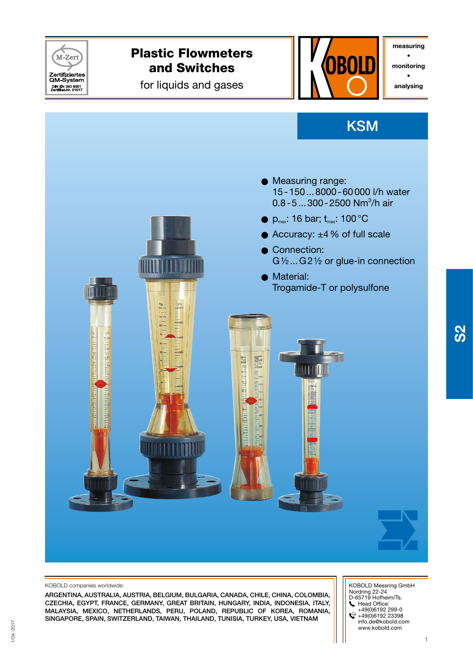

#### KOBOLD companies worldwide:

ARGENTINA, AUSTRALIA, AUSTRIA, BELGIUM, BULGARIA, CANADA, CHILE, CHINA, COLoMBIA, CZECHIA, EGYPT, FRANCE, GERMANY, GREAT BRITAIN, HUNGARY, INDIA, INDONESIA, ITALY, MALAYSIA, MEXICO, NETHERLANDS, PERU, POLAND, Republic of Korea, ROMANIA, SINGAPORE, SPAIN, SWITZERLAND, TAIWAN, THAILAND, TUNISIA, turkey, USA, VIETNAM

 KOBOLD Messring GmbH Nordring 22-24 D-65719 Hofheim/Ts. Head Office: +49(0)6192 299-0 +49(0)6192 23398 info.de@kobold.com www.kobold.com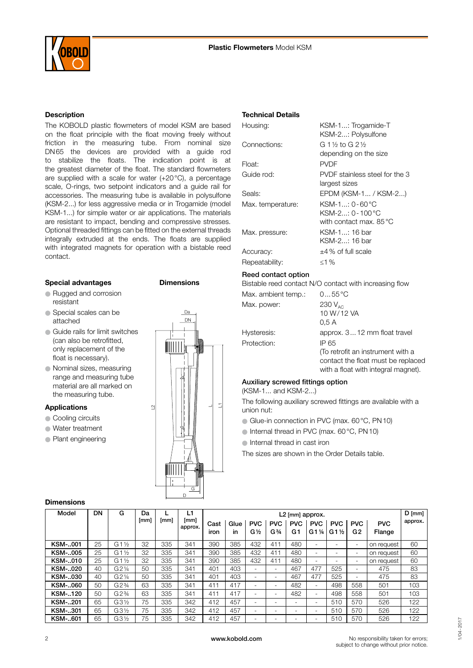

### Description

The KOBOLD plastic flowmeters of model KSM are based on the float principle with the float moving freely without friction in the measuring tube. From nominal size DN65 the devices are provided with a guide rod to stabilize the floats. The indication point is at the greatest diameter of the float. The standard flowmeters are supplied with a scale for water (+20°C), a percentage scale, O-rings, two setpoint indicators and a guide rail for accessories. The measuring tube is available in polysulfone (KSM-2...) for less aggressive media or in Trogamide (model KSM-1...) for simple water or air applications. The materials are resistant to impact, bending and compressive stresses. Optional threaded fittings can be fitted on the external threads integrally extruded at the ends. The floats are supplied with integrated magnets for operation with a bistable reed contact.

### Special advantages **Dimensions**

- O Rugged and corrosion resistant
- Special scales can be attached
- Guide rails for limit switches (can also be retrofitted, only replacement of the float is necessary).
- O Nominal sizes, measuring range and measuring tube material are all marked on the measuring tube.

#### Applications

- Cooling circuits
- O Water treatment
- O Plant engineering



#### Technical Details

| Housing:            | KSM-1: Trogamide-T<br>KSM-2: Polysulfone                                |
|---------------------|-------------------------------------------------------------------------|
| Connections:        | G 1½ to G 2½                                                            |
|                     | depending on the size                                                   |
| Float:              | <b>PVDF</b>                                                             |
| Guide rod:          | PVDF stainless steel for the 3<br>largest sizes                         |
| Seals:              | EPDM (KSM-1 / KSM-2)                                                    |
| Max. temperature:   | KSM-1: 0-60 °C<br>KSM-2: 0 - 100 °C<br>with contact max. $85^{\circ}$ C |
| Max. pressure:      | KSM-1: 16 bar<br>KSM-2: 16 bar                                          |
| Accuracy:           | $\pm$ 4% of full scale                                                  |
| Repeatability:      | ≤1 %                                                                    |
| Reed contact option | Bistable reed contact N/O contact with increasing flow                  |
| Max. ambient temp.: | $055^{\circ}$ C                                                         |
| Max. power:         | 230 $V_{AC}$                                                            |
|                     | 10 W/12 VA                                                              |
|                     | 0.5 A                                                                   |

| -lysteresis: |  |
|--------------|--|
| Protection:  |  |
|              |  |
|              |  |

## Hysteresis: approx. 3... 12 mm float travel **IP 65** (To retrofit an instrument with a contact the float must be replaced with a float with integral magnet).

No responsibility taken for errors; subject to change without prior notice.

#### Auxiliary screwed fittings option

(KSM-1... and KSM-2...)

The following auxiliary screwed fittings are available with a union nut:

- O Glue-in connection in PVC (max. 60°C, PN10)
- O Internal thread in PVC (max. 60°C, PN10)
- O Internal thread in cast iron

The sizes are shown in the Order Details table.

## **Dimensions**

| Model          | DN | G                | Da   |      | L1              | L2 [mm] approx. |            |                              |                                             |                  |                   | $D$ [mm] $\frac{1}{2}$        |                              |                      |         |
|----------------|----|------------------|------|------|-----------------|-----------------|------------|------------------------------|---------------------------------------------|------------------|-------------------|-------------------------------|------------------------------|----------------------|---------|
|                |    |                  | [mm] | [mm] | [mm]<br>approx. | Cast<br>iron    | Glue<br>in | <b>PVC</b><br>$G\frac{1}{2}$ | <b>PVC</b><br>G <sup>3</sup> / <sub>4</sub> | <b>PVC</b><br>G1 | <b>PVC</b><br>G1½ | <b>PVC</b><br>$G1\frac{1}{2}$ | <b>PVC</b><br>G <sub>2</sub> | <b>PVC</b><br>Flange | approx. |
| <b>KSM-001</b> | 25 | G1 $\frac{1}{2}$ | 32   | 335  | 341             | 390             | 385        | 432                          | 411                                         | 480              |                   | ۰.                            | $\overline{\phantom{0}}$     | on request           | 60      |
| <b>KSM-005</b> | 25 | G1 $\frac{1}{2}$ | 32   | 335  | 341             | 390             | 385        | 432                          | 411                                         | 480              |                   |                               | $\overline{\phantom{0}}$     | on request           | 60      |
| KSM-010        | 25 | G1<br>  ½        | 32   | 335  | 341             | 390             | 385        | 432                          | 411                                         | 480              |                   |                               | ۰.                           | on request           | 60      |
| <b>KSM-020</b> | 40 | G21/4            | 50   | 335  | 341             | 401             | 403        | ۰                            |                                             | 467              | 477               | 525                           | -                            | 475                  | 83      |
| KSM-030        | 40 | G21⁄4            | 50   | 335  | 341             | 401             | 403        | ۰                            | $\overline{\phantom{a}}$                    | 467              | 477               | 525                           |                              | 475                  | 83      |
| KSM-060        | 50 | G2%              | 63   | 335  | 341             | 411             | 417        | ۰                            | ۰                                           | 482              | ۰                 | 498                           | 558                          | 501                  | 103     |
| KSM-120        | 50 | G2%              | 63   | 335  | 341             | 411             | 417        | ۰                            | ۰                                           | 482              |                   | 498                           | 558                          | 501                  | 103     |
| <b>KSM-201</b> | 65 | $G3\frac{1}{2}$  | 75   | 335  | 342             | 412             | 457        | ۰                            |                                             |                  | ۰                 | 510                           | 570                          | 526                  | 122     |
| <b>KSM-301</b> | 65 | G3½              | 75   | 335  | 342             | 412             | 457        | ۰                            | ۰                                           |                  | ۰                 | 510                           | 570                          | 526                  | 122     |
| KSM-601        | 65 | G3½              | 75   | 335  | 342             | 412             | 457        |                              |                                             |                  |                   | 510                           | 570                          | 526                  | 122     |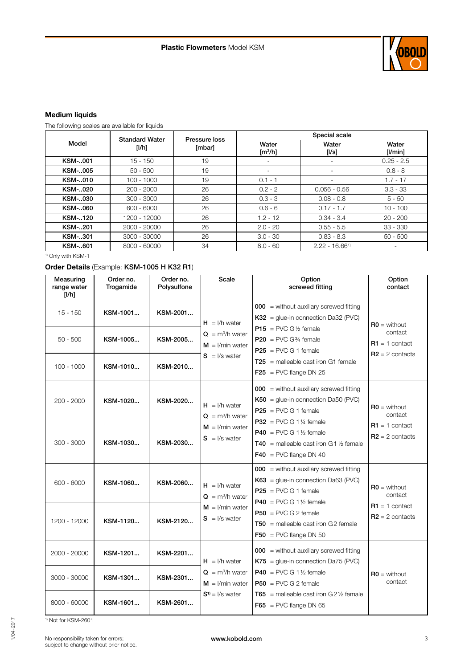

## Medium liquids

The following scales are available for liquids

|                | <b>Standard Water</b> | Pressure loss | Special scale            |                              |                  |  |  |
|----------------|-----------------------|---------------|--------------------------|------------------------------|------------------|--|--|
| Model          | [l/h]                 | [mbar]        | Water<br>$\text{[m3/h]}$ | Water<br>[I/s]               | Water<br>[1/min] |  |  |
| KSM-001        | $15 - 150$            | 19            |                          |                              | $0.25 - 2.5$     |  |  |
| <b>KSM-005</b> | $50 - 500$            | 19            |                          |                              | $0.8 - 8$        |  |  |
| KSM-010        | $100 - 1000$          | 19            | $0.1 - 1$                |                              | $1.7 - 17$       |  |  |
| KSM-020        | $200 - 2000$          | 26            | $0.2 - 2$                | $0.056 - 0.56$               | $3.3 - 33$       |  |  |
| <b>KSM-030</b> | $300 - 3000$          | 26            | $0.3 - 3$                | $0.08 - 0.8$                 | $5 - 50$         |  |  |
| KSM-060        | $600 - 6000$          | 26            | $0.6 - 6$                | $0.17 - 1.7$                 | $10 - 100$       |  |  |
| KSM-120        | 1200 - 12000          | 26            | $1.2 - 12$               | $0.34 - 3.4$                 | $20 - 200$       |  |  |
| KSM-201        | 2000 - 20000          | 26            | $2.0 - 20$               | $0.55 - 5.5$                 | $33 - 330$       |  |  |
| <b>KSM-301</b> | 3000 - 30000          | 26            | $3.0 - 30$               | $0.83 - 8.3$                 | $50 - 500$       |  |  |
| <b>KSM-601</b> | 8000 - 60000          | 34            | $8.0 - 60$               | $2.22 - 16.66$ <sup>1)</sup> |                  |  |  |

<sup>1)</sup> Only with KSM-1

# Order Details (Example: KSM-1005 H K32 R1)

| Measuring<br>range water<br>[1/h] | Order no.<br>Trogamide | Order no.<br>Polysulfone | Scale                                            | Option<br>screwed fitting                                                                                                                | Option<br>contact                     |
|-----------------------------------|------------------------|--------------------------|--------------------------------------------------|------------------------------------------------------------------------------------------------------------------------------------------|---------------------------------------|
| $15 - 150$                        | KSM-1001               | KSM-2001                 | $H = I/h$ water                                  | $000 =$ without auxiliary screwed fitting<br>$K32$ = glue-in connection Da32 (PVC)                                                       | $RO = without$                        |
| $50 - 500$                        | KSM-1005               | KSM-2005                 | $Q = m^3/h$ water<br>$M = 1/m$ in water          | $P15 = PVC G\frac{1}{2}$ female<br>$P20 = PVC G\frac{3}{4}$ female<br>$P25 = PVC G 1 female$                                             | contact<br>$R1 = 1$ contact           |
| $100 - 1000$                      | KSM-1010               | KSM-2010                 | $S = \frac{1}{s}$ water                          | $T25$ = malleable cast iron G1 female<br>$F25 = PVC$ flange DN 25                                                                        | $R2 = 2$ contacts                     |
| $200 - 2000$                      | KSM-1020               | KSM-2020                 | $H = I/h$ water<br>$\mathbf{Q} = m^3/h$ water    | $000$ = without auxiliary screwed fitting<br>$K50 =$ glue-in connection Da50 (PVC)<br>$P25 = PVC G 1 female$<br>$P32 = PVC G 1\%$ female | $RO =$ without<br>contact             |
| $300 - 3000$                      | KSM-1030               | KSM-2030                 | $M = 1$ /min water<br>$S = \frac{1}{s}$ water    | $P40 = PVC$ G 1 1/2 female<br><b>T40</b> = malleable cast iron G 1 $\frac{1}{2}$ female<br>$F40 = PVC$ flange DN 40                      | $R1 = 1$ contact<br>$R2 = 2$ contacts |
| $600 - 6000$                      | KSM-1060               | KSM-2060                 | $H = I/h$ water<br>$\mathbf{Q} = m^3/h$ water    | $000$ = without auxiliary screwed fitting<br>$K63 =$ glue-in connection Da63 (PVC)<br>$P25 = PVC G 1 female$<br>$P40 = PVC G 1$ % female | $RO =$ without<br>contact             |
| 1200 - 12000                      | KSM-1120               | KSM-2120                 | $M = 1/m$ in water<br>$S = 1/s$ water            | $P50 = PVC$ G 2 female<br>$T50$ = malleable cast iron G2 female<br>$F50 = PVC$ flange DN 50                                              | $R1 = 1$ contact<br>$R2 = 2$ contacts |
| 2000 - 20000                      | KSM-1201               | KSM-2201                 | $H = I/h$ water                                  | $000$ = without auxiliary screwed fitting<br>$K75$ = glue-in connection Da75 (PVC)                                                       |                                       |
| 3000 - 30000                      | KSM-1301               | KSM-2301                 | $\mathbf{Q} = m^3/h$ water<br>$M = 1$ /min water | $P40 = PVC G 1$ % female<br>$P50 = PVC G 2 female$                                                                                       | $RO = without$<br>contact             |
| 8000 - 60000                      | KSM-1601               | KSM-2601                 | $S^{1)} = I/s$ water                             | <b>T65</b> = malleable cast iron $G2\frac{1}{2}$ female<br>$F65$ = PVC flange DN 65                                                      |                                       |

<sup>1)</sup> Not for KSM-2601

1/04

-2017